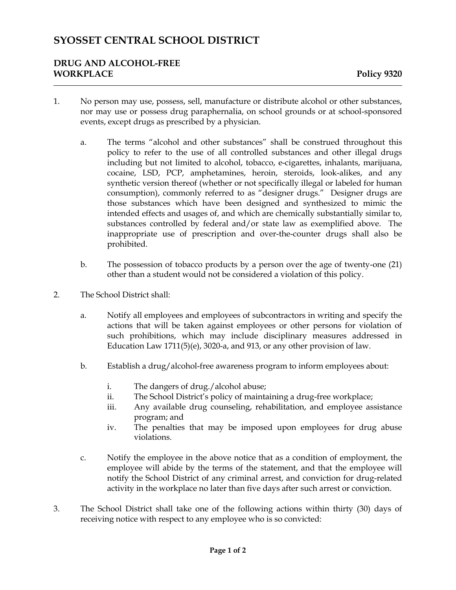# **SYOSSET CENTRAL SCHOOL DISTRICT**

### **DRUG AND ALCOHOL-FREE WORKPLACE Policy 9320**

- 1. No person may use, possess, sell, manufacture or distribute alcohol or other substances, nor may use or possess drug paraphernalia, on school grounds or at school-sponsored events, except drugs as prescribed by a physician.
	- a. The terms "alcohol and other substances" shall be construed throughout this policy to refer to the use of all controlled substances and other illegal drugs including but not limited to alcohol, tobacco, e-cigarettes, inhalants, marijuana, cocaine, LSD, PCP, amphetamines, heroin, steroids, look-alikes, and any synthetic version thereof (whether or not specifically illegal or labeled for human consumption), commonly referred to as "designer drugs." Designer drugs are those substances which have been designed and synthesized to mimic the intended effects and usages of, and which are chemically substantially similar to, substances controlled by federal and/or state law as exemplified above. The inappropriate use of prescription and over-the-counter drugs shall also be prohibited.
	- b. The possession of tobacco products by a person over the age of twenty-one (21) other than a student would not be considered a violation of this policy.
- 2. The School District shall:
	- a. Notify all employees and employees of subcontractors in writing and specify the actions that will be taken against employees or other persons for violation of such prohibitions, which may include disciplinary measures addressed in Education Law 1711(5)(e), 3020-a, and 913, or any other provision of law.
	- b. Establish a drug/alcohol-free awareness program to inform employees about:
		- i. The dangers of drug./alcohol abuse;
		- ii. The School District's policy of maintaining a drug-free workplace;
		- iii. Any available drug counseling, rehabilitation, and employee assistance program; and
		- iv. The penalties that may be imposed upon employees for drug abuse violations.
	- c. Notify the employee in the above notice that as a condition of employment, the employee will abide by the terms of the statement, and that the employee will notify the School District of any criminal arrest, and conviction for drug-related activity in the workplace no later than five days after such arrest or conviction.
- 3. The School District shall take one of the following actions within thirty (30) days of receiving notice with respect to any employee who is so convicted: